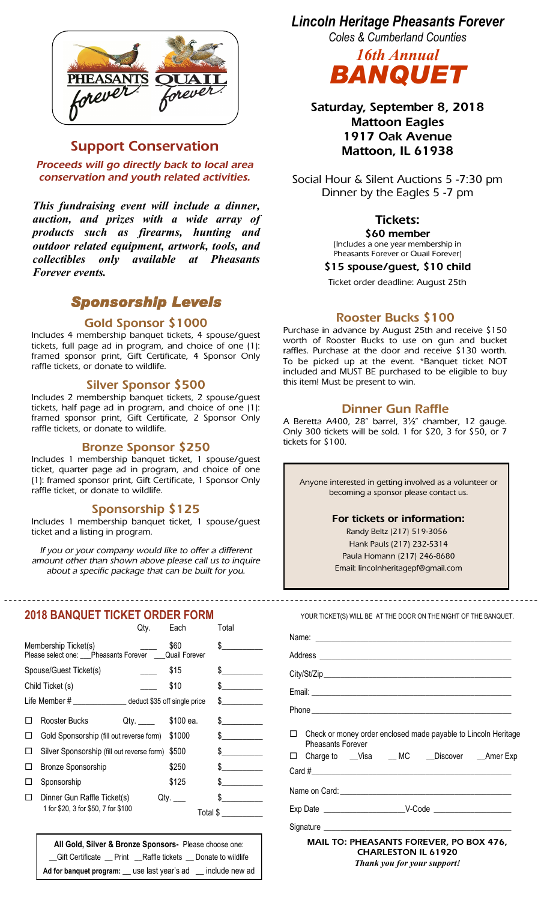

## **Support Conservation**

*Proceeds will go directly back to local area conservation and youth related activities.*

*This fundraising event will include a dinner, auction, and prizes with a wide array of products such as firearms, hunting and outdoor related equipment, artwork, tools, and collectibles only available at Pheasants Forever events.* 

# *Sponsorship Levels*

#### **Gold Sponsor \$1000**

Includes 4 membership banquet tickets, 4 spouse/guest tickets, full page ad in program, and choice of one (1): framed sponsor print, Gift Certificate, 4 Sponsor Only raffle tickets, or donate to wildlife.

#### **Silver Sponsor \$500**

Includes 2 membership banquet tickets, 2 spouse/guest tickets, half page ad in program, and choice of one (1): framed sponsor print, Gift Certificate, 2 Sponsor Only raffle tickets, or donate to wildlife.

#### **Bronze Sponsor \$250**

Includes 1 membership banquet ticket, 1 spouse/guest ticket, quarter page ad in program, and choice of one (1): framed sponsor print, Gift Certificate, 1 Sponsor Only raffle ticket, or donate to wildlife.

#### **Sponsorship \$125**

Includes 1 membership banquet ticket, 1 spouse/guest ticket and a listing in program.

*If you or your company would like to offer a different amount other than shown above please call us to inquire about a specific package that can be built for you.*

#### **2018 BANQUET TICKET ORDER FORM**

|                                                            |                                                                    | Qty.                         | Each                          | Total                         |
|------------------------------------------------------------|--------------------------------------------------------------------|------------------------------|-------------------------------|-------------------------------|
|                                                            | Membership Ticket(s)<br>Please select one: Pheasants Forever       | \$60<br><b>Quail Forever</b> | \$                            |                               |
| Spouse/Guest Ticket(s)                                     |                                                                    | \$15                         | $\mathbb S$                   |                               |
| Child Ticket (s)                                           |                                                                    | \$10                         | $\degree$ $\frac{1}{\degree}$ |                               |
| Life Member # _______________ deduct \$35 off single price |                                                                    |                              |                               | $\frac{1}{2}$                 |
|                                                            | Rooster Bucks                                                      | Qty. \$100 ea.               |                               | $\mathbb S$                   |
|                                                            | Gold Sponsorship (fill out reverse form)                           |                              | \$1000                        | $\frac{1}{2}$                 |
| Ħ                                                          | Silver Sponsorship (fill out reverse form)                         |                              | \$500                         | $\mathbb{S}$ and $\mathbb{S}$ |
| Ħ                                                          | <b>Bronze Sponsorship</b>                                          |                              | \$250                         | \$                            |
| Ħ                                                          | Sponsorship                                                        |                              | \$125                         | $\frac{1}{\sqrt{2}}$          |
| Ш                                                          | Dinner Gun Raffle Ticket(s)<br>1 for \$20, 3 for \$50, 7 for \$100 |                              | Qtv.<br>Total \$              | $\frac{1}{\sqrt{2}}$          |

**All Gold, Silver & Bronze Sponsors-** Please choose one: \_\_Gift Certificate \_\_ Print \_\_Raffle tickets \_\_ Donate to wildlife **Ad for banquet program:** \_\_ use last year's ad \_\_ include new ad *Lincoln Heritage Pheasants Forever*

*Coles & Cumberland Counties*



**Saturday, September 8, 2018 Mattoon Eagles 1917 Oak Avenue Mattoon, IL 61938**

Social Hour & Silent Auctions 5 -7:30 pm Dinner by the Eagles 5 -7 pm

### **Tickets:**

**\$60 member** 

(Includes a one year membership in Pheasants Forever or Quail Forever)

**\$15 spouse/guest, \$10 child**

Ticket order deadline: August 25th

#### **Rooster Bucks \$100**

Purchase in advance by August 25th and receive \$150 worth of Rooster Bucks to use on gun and bucket raffles. Purchase at the door and receive \$130 worth. To be picked up at the event. \*Banquet ticket NOT included and MUST BE purchased to be eligible to buy this item! Must be present to win.

### **Dinner Gun Raffle**

A Beretta A400, 28" barrel, 3½" chamber, 12 gauge. Only 300 tickets will be sold. 1 for \$20, 3 for \$50, or 7 tickets for \$100.

Anyone interested in getting involved as a volunteer or becoming a sponsor please contact us.

#### **For tickets or information:**

Randy Beltz (217) 519-3056 Hank Pauls (217) 232-5314 Paula Homann (217) 246-8680

Email: lincolnheritagepf@gmail.com

YOUR TICKET(S) WILL BE AT THE DOOR ON THE NIGHT OF THE BANQUET.

| □ Check or money order enclosed made payable to Lincoln Heritage<br><b>Pheasants Forever</b><br>□ Charge to __Visa ___MC ___Discover ___Amer Exp |
|--------------------------------------------------------------------------------------------------------------------------------------------------|
|                                                                                                                                                  |
|                                                                                                                                                  |
|                                                                                                                                                  |
|                                                                                                                                                  |
| <b>MAIL TO: PHEASANTS FOREVER, PO BOX 476,</b><br><b>CHARLESTON IL 61920</b><br>Thank you for your support!                                      |